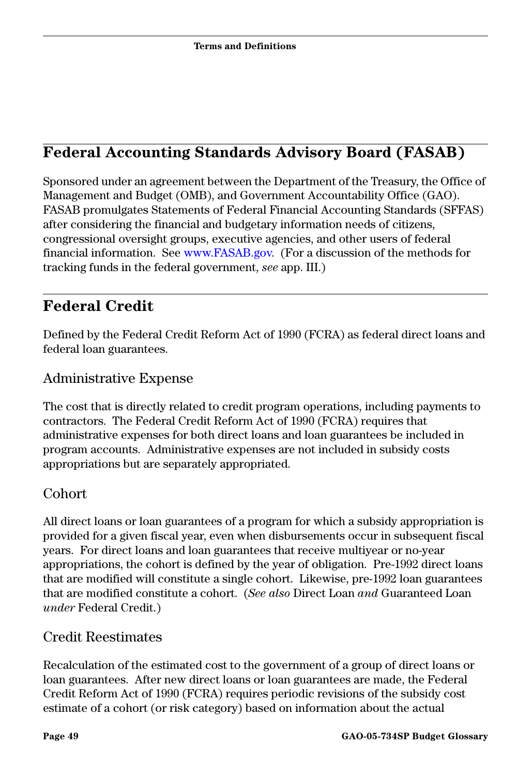# **Federal Accounting Standards Advisory Board (FASAB)**

Sponsored under an agreement between the Department of the Treasury, the Office of Management and Budget (OMB), and Government Accountability Office (GAO). FASAB promulgates Statements of Federal Financial Accounting Standards (SFFAS) after considering the financial and budgetary information needs of citizens, congressional oversight groups, executive agencies, and other users of federal financial information. See [www.FASAB.gov.](http://www.FASAB.gov) (For a discussion of the methods for tracking funds in the federal government, *see* app. III.)

# **Federal Credit**

Defined by the Federal Credit Reform Act of 1990 (FCRA) as federal direct loans and federal loan guarantees.

#### Administrative Expense

The cost that is directly related to credit program operations, including payments to contractors. The Federal Credit Reform Act of 1990 (FCRA) requires that administrative expenses for both direct loans and loan guarantees be included in program accounts. Administrative expenses are not included in subsidy costs appropriations but are separately appropriated.

#### Cohort

All direct loans or loan guarantees of a program for which a subsidy appropriation is provided for a given fiscal year, even when disbursements occur in subsequent fiscal years. For direct loans and loan guarantees that receive multiyear or no-year appropriations, the cohort is defined by the year of obligation. Pre-1992 direct loans that are modified will constitute a single cohort. Likewise, pre-1992 loan guarantees that are modified constitute a cohort. (*See also* Direct Loan *and* Guaranteed Loan *under* Federal Credit.)

#### Credit Reestimates

Recalculation of the estimated cost to the government of a group of direct loans or loan guarantees. After new direct loans or loan guarantees are made, the Federal Credit Reform Act of 1990 (FCRA) requires periodic revisions of the subsidy cost estimate of a cohort (or risk category) based on information about the actual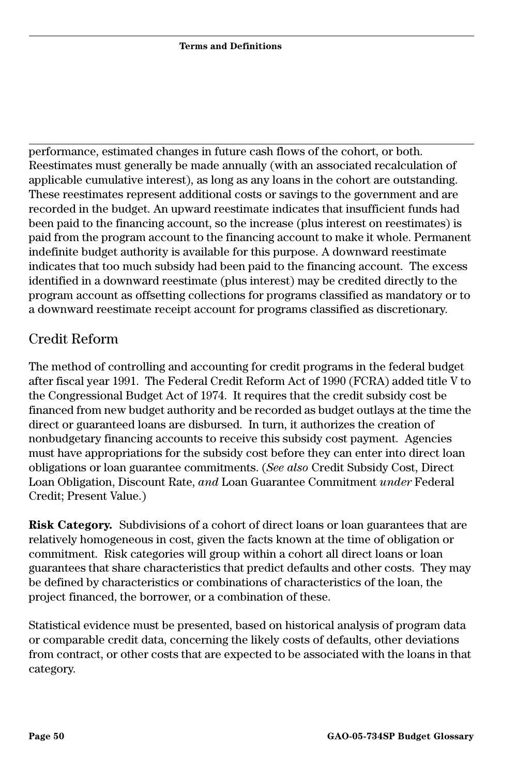performance, estimated changes in future cash flows of the cohort, or both. Reestimates must generally be made annually (with an associated recalculation of applicable cumulative interest), as long as any loans in the cohort are outstanding. These reestimates represent additional costs or savings to the government and are recorded in the budget. An upward reestimate indicates that insufficient funds had been paid to the financing account, so the increase (plus interest on reestimates) is paid from the program account to the financing account to make it whole. Permanent indefinite budget authority is available for this purpose. A downward reestimate indicates that too much subsidy had been paid to the financing account. The excess identified in a downward reestimate (plus interest) may be credited directly to the program account as offsetting collections for programs classified as mandatory or to a downward reestimate receipt account for programs classified as discretionary.

#### Credit Reform

The method of controlling and accounting for credit programs in the federal budget after fiscal year 1991. The Federal Credit Reform Act of 1990 (FCRA) added title V to the Congressional Budget Act of 1974. It requires that the credit subsidy cost be financed from new budget authority and be recorded as budget outlays at the time the direct or guaranteed loans are disbursed. In turn, it authorizes the creation of nonbudgetary financing accounts to receive this subsidy cost payment. Agencies must have appropriations for the subsidy cost before they can enter into direct loan obligations or loan guarantee commitments. (*See also* Credit Subsidy Cost, Direct Loan Obligation, Discount Rate, *and* Loan Guarantee Commitment *under* Federal Credit; Present Value.)

**Risk Category.** Subdivisions of a cohort of direct loans or loan guarantees that are relatively homogeneous in cost, given the facts known at the time of obligation or commitment. Risk categories will group within a cohort all direct loans or loan guarantees that share characteristics that predict defaults and other costs. They may be defined by characteristics or combinations of characteristics of the loan, the project financed, the borrower, or a combination of these.

Statistical evidence must be presented, based on historical analysis of program data or comparable credit data, concerning the likely costs of defaults, other deviations from contract, or other costs that are expected to be associated with the loans in that category.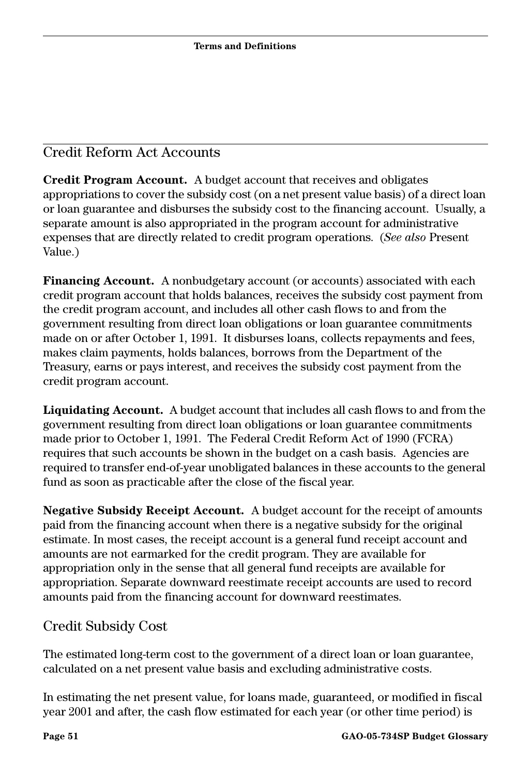## Credit Reform Act Accounts

**Credit Program Account.** A budget account that receives and obligates appropriations to cover the subsidy cost (on a net present value basis) of a direct loan or loan guarantee and disburses the subsidy cost to the financing account. Usually, a separate amount is also appropriated in the program account for administrative expenses that are directly related to credit program operations. (*See also* Present Value.)

**Financing Account.** A nonbudgetary account (or accounts) associated with each credit program account that holds balances, receives the subsidy cost payment from the credit program account, and includes all other cash flows to and from the government resulting from direct loan obligations or loan guarantee commitments made on or after October 1, 1991. It disburses loans, collects repayments and fees, makes claim payments, holds balances, borrows from the Department of the Treasury, earns or pays interest, and receives the subsidy cost payment from the credit program account.

**Liquidating Account.** A budget account that includes all cash flows to and from the government resulting from direct loan obligations or loan guarantee commitments made prior to October 1, 1991. The Federal Credit Reform Act of 1990 (FCRA) requires that such accounts be shown in the budget on a cash basis. Agencies are required to transfer end-of-year unobligated balances in these accounts to the general fund as soon as practicable after the close of the fiscal year.

**Negative Subsidy Receipt Account.** A budget account for the receipt of amounts paid from the financing account when there is a negative subsidy for the original estimate. In most cases, the receipt account is a general fund receipt account and amounts are not earmarked for the credit program. They are available for appropriation only in the sense that all general fund receipts are available for appropriation. Separate downward reestimate receipt accounts are used to record amounts paid from the financing account for downward reestimates.

#### Credit Subsidy Cost

The estimated long-term cost to the government of a direct loan or loan guarantee, calculated on a net present value basis and excluding administrative costs.

In estimating the net present value, for loans made, guaranteed, or modified in fiscal year 2001 and after, the cash flow estimated for each year (or other time period) is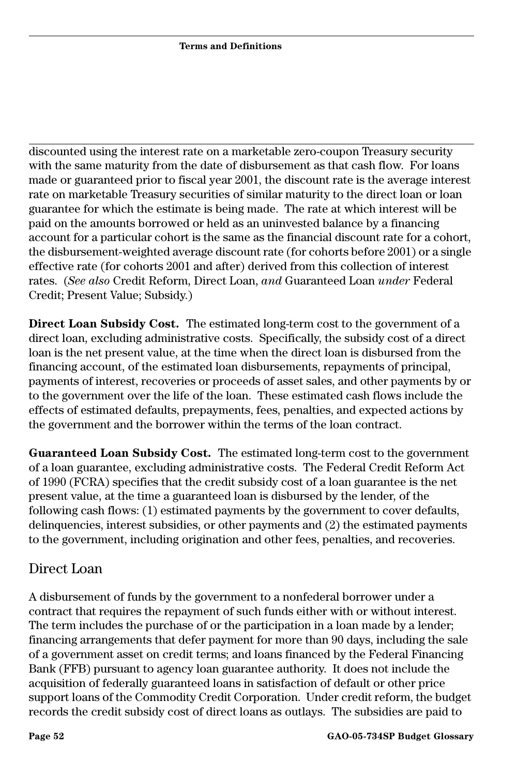discounted using the interest rate on a marketable zero-coupon Treasury security with the same maturity from the date of disbursement as that cash flow. For loans made or guaranteed prior to fiscal year 2001, the discount rate is the average interest rate on marketable Treasury securities of similar maturity to the direct loan or loan guarantee for which the estimate is being made. The rate at which interest will be paid on the amounts borrowed or held as an uninvested balance by a financing account for a particular cohort is the same as the financial discount rate for a cohort, the disbursement-weighted average discount rate (for cohorts before 2001) or a single effective rate (for cohorts 2001 and after) derived from this collection of interest rates. (*See also* Credit Reform, Direct Loan, *and* Guaranteed Loan *under* Federal Credit; Present Value; Subsidy.)

**Direct Loan Subsidy Cost.** The estimated long-term cost to the government of a direct loan, excluding administrative costs. Specifically, the subsidy cost of a direct loan is the net present value, at the time when the direct loan is disbursed from the financing account, of the estimated loan disbursements, repayments of principal, payments of interest, recoveries or proceeds of asset sales, and other payments by or to the government over the life of the loan. These estimated cash flows include the effects of estimated defaults, prepayments, fees, penalties, and expected actions by the government and the borrower within the terms of the loan contract.

**Guaranteed Loan Subsidy Cost.** The estimated long-term cost to the government of a loan guarantee, excluding administrative costs. The Federal Credit Reform Act of 1990 (FCRA) specifies that the credit subsidy cost of a loan guarantee is the net present value, at the time a guaranteed loan is disbursed by the lender, of the following cash flows: (1) estimated payments by the government to cover defaults, delinquencies, interest subsidies, or other payments and (2) the estimated payments to the government, including origination and other fees, penalties, and recoveries.

## Direct Loan

A disbursement of funds by the government to a nonfederal borrower under a contract that requires the repayment of such funds either with or without interest. The term includes the purchase of or the participation in a loan made by a lender; financing arrangements that defer payment for more than 90 days, including the sale of a government asset on credit terms; and loans financed by the Federal Financing Bank (FFB) pursuant to agency loan guarantee authority. It does not include the acquisition of federally guaranteed loans in satisfaction of default or other price support loans of the Commodity Credit Corporation. Under credit reform, the budget records the credit subsidy cost of direct loans as outlays. The subsidies are paid to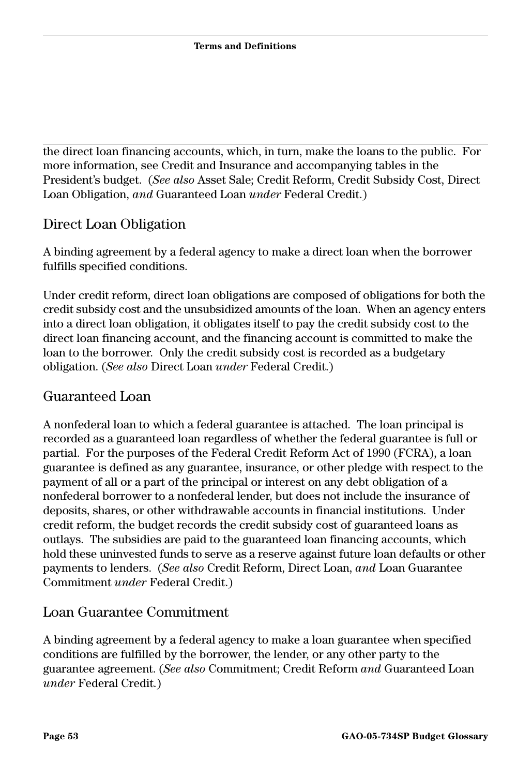the direct loan financing accounts, which, in turn, make the loans to the public. For more information, see Credit and Insurance and accompanying tables in the President's budget. (*See also* Asset Sale; Credit Reform, Credit Subsidy Cost, Direct Loan Obligation, *and* Guaranteed Loan *under* Federal Credit.)

## Direct Loan Obligation

A binding agreement by a federal agency to make a direct loan when the borrower fulfills specified conditions.

Under credit reform, direct loan obligations are composed of obligations for both the credit subsidy cost and the unsubsidized amounts of the loan. When an agency enters into a direct loan obligation, it obligates itself to pay the credit subsidy cost to the direct loan financing account, and the financing account is committed to make the loan to the borrower. Only the credit subsidy cost is recorded as a budgetary obligation. (*See also* Direct Loan *under* Federal Credit.)

## Guaranteed Loan

A nonfederal loan to which a federal guarantee is attached. The loan principal is recorded as a guaranteed loan regardless of whether the federal guarantee is full or partial. For the purposes of the Federal Credit Reform Act of 1990 (FCRA), a loan guarantee is defined as any guarantee, insurance, or other pledge with respect to the payment of all or a part of the principal or interest on any debt obligation of a nonfederal borrower to a nonfederal lender, but does not include the insurance of deposits, shares, or other withdrawable accounts in financial institutions. Under credit reform, the budget records the credit subsidy cost of guaranteed loans as outlays. The subsidies are paid to the guaranteed loan financing accounts, which hold these uninvested funds to serve as a reserve against future loan defaults or other payments to lenders. (*See also* Credit Reform, Direct Loan, *and* Loan Guarantee Commitment *under* Federal Credit.)

#### Loan Guarantee Commitment

A binding agreement by a federal agency to make a loan guarantee when specified conditions are fulfilled by the borrower, the lender, or any other party to the guarantee agreement. (*See also* Commitment; Credit Reform *and* Guaranteed Loan *under* Federal Credit.)